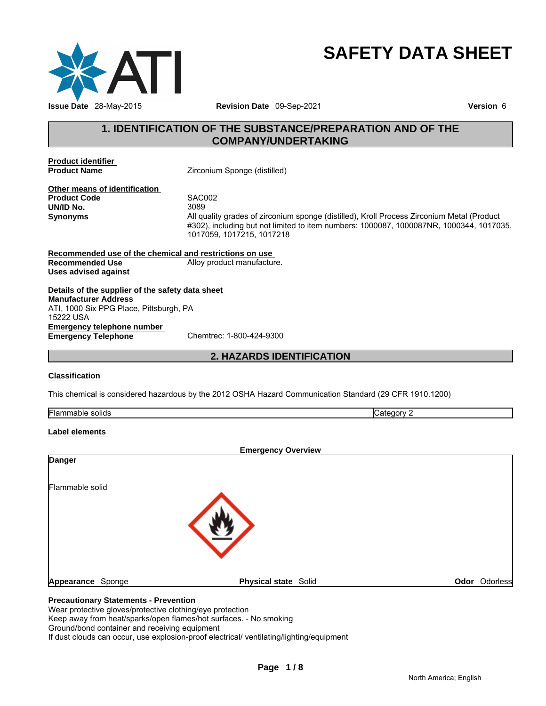

# **SAFETY DATA SHEET**

# **1. IDENTIFICATION OF THE SUBSTANCE/PREPARATION AND OF THE COMPANY/UNDERTAKING**

**Product identifier** 

**Zirconium Sponge (distilled)** 

**Other means of identification Product Code** SAC002 **UN/ID No.** 

**Synonyms** All quality grades of zirconium sponge (distilled), Kroll Process Zirconium Metal (Product #302), including but not limited to item numbers: 1000087, 1000087NR, 1000344, 1017035, 1017059, 1017215, 1017218

**Recommended use of the chemical and restrictions on use Recommended Use Alloy product manufacture. Uses advised against** 

**Details of the supplier of the safety data sheet Emergency telephone number Emergency Telephone** Chemtrec: 1-800-424-9300 **Manufacturer Address** ATI, 1000 Six PPG Place, Pittsburgh, PA 15222 USA

# **2. HAZARDS IDENTIFICATION**

### **Classification**

This chemical is considered hazardous by the 2012 OSHA Hazard Communication Standard (29 CFR 1910.1200)

| Flamm<br>solids<br>navit | $H = 1002$<br>. <i>.</i> . |
|--------------------------|----------------------------|

# **Label elements**

| <b>Emergency Overview</b> |                      |               |
|---------------------------|----------------------|---------------|
| <b>Danger</b>             |                      |               |
| Flammable solid           |                      |               |
|                           |                      |               |
| Appearance Sponge         | Physical state Solid | Odor Odorless |

# **Precautionary Statements - Prevention**

Wear protective gloves/protective clothing/eye protection

Keep away from heat/sparks/open flames/hot surfaces. - No smoking

Ground/bond container and receiving equipment

If dust clouds can occur, use explosion-proof electrical/ ventilating/lighting/equipment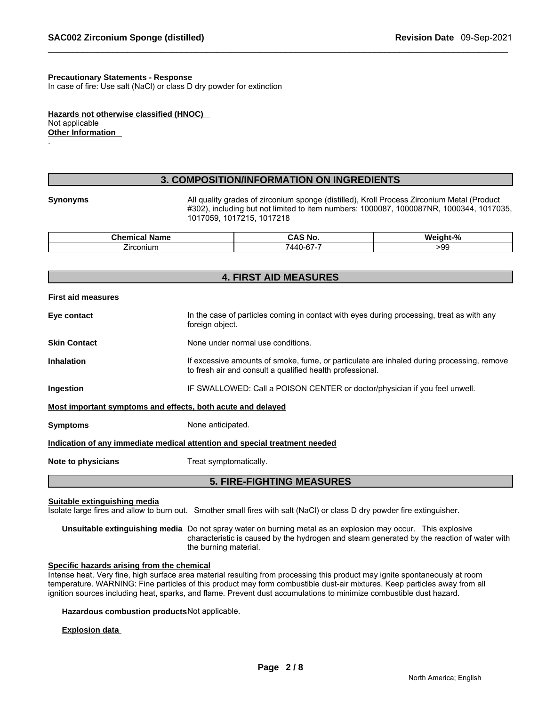#### **Precautionary Statements - Response**

In case of fire: Use salt (NaCl) or class D dry powder for extinction

**Hazards not otherwise classified (HNOC)**  Not applicable **Other Information**  .

# **3. COMPOSITION/INFORMATION ON INGREDIENTS**

**Synonyms** All quality grades of zirconium sponge (distilled), Kroll Process Zirconium Metal (Product #302), including but not limited to item numbers: 1000087, 1000087NR, 1000344, 1017035, 1017059, 1017215, 1017218

| <u> Thamaina</u><br><b>Name</b><br>пісаі<br>. . De | 'NG.                                                    | $\mathbf{a}$<br>W<br>"∕o<br>пп.<br>. |
|----------------------------------------------------|---------------------------------------------------------|--------------------------------------|
| $\overline{\phantom{a}}$<br>.<br>hiun.<br>сог      | $\sim$<br>$\sim$<br>$\Delta \Delta'$<br>$\cdot$ $\cdot$ | ٬۵۲<br>ಀಀ                            |

|                              | <b>4. FIRST AID MEASURES</b>                                                                                                                           |  |  |  |
|------------------------------|--------------------------------------------------------------------------------------------------------------------------------------------------------|--|--|--|
| <b>First aid measures</b>    |                                                                                                                                                        |  |  |  |
| Eye contact                  | In the case of particles coming in contact with eyes during processing, treat as with any<br>foreign object.                                           |  |  |  |
| <b>Skin Contact</b>          | None under normal use conditions.                                                                                                                      |  |  |  |
| <b>Inhalation</b>            | If excessive amounts of smoke, fume, or particulate are inhaled during processing, remove<br>to fresh air and consult a qualified health professional. |  |  |  |
| Ingestion                    | IF SWALLOWED: Call a POISON CENTER or doctor/physician if you feel unwell.                                                                             |  |  |  |
|                              | Most important symptoms and effects, both acute and delayed                                                                                            |  |  |  |
| <b>Symptoms</b>              | None anticipated.                                                                                                                                      |  |  |  |
|                              | Indication of any immediate medical attention and special treatment needed                                                                             |  |  |  |
| Note to physicians           | Treat symptomatically.                                                                                                                                 |  |  |  |
|                              | <b>5. FIRE-FIGHTING MEASURES</b>                                                                                                                       |  |  |  |
| Suitable extinguishing media | Isolate large fires and allow to burn out. Smother small fires with salt (NaCl) or class D dry powder fire extinguisher.                               |  |  |  |

**Unsuitable extinguishing media** Do not spray water on burning metal as an explosion may occur. This explosive characteristic is caused by the hydrogen and steam generated by the reaction of water with the burning material.

# **Specific hazards arising from the chemical**

Intense heat. Very fine, high surface area material resulting from processing this product may ignite spontaneously at room temperature. WARNING: Fine particles of this product may form combustible dust-air mixtures. Keep particles away from all ignition sources including heat, sparks, and flame. Prevent dust accumulations to minimize combustible dust hazard.

**Hazardous combustion products** Not applicable.

#### **Explosion data**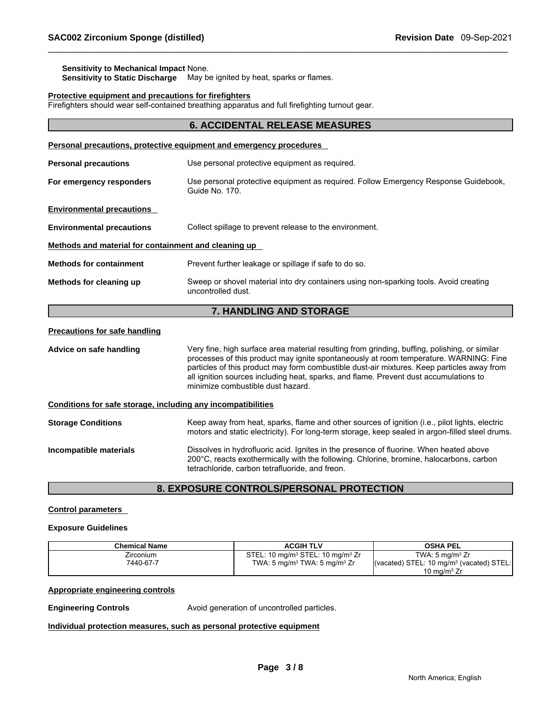# **Sensitivity to Mechanical Impact** None.

**Sensitivity to Static Discharge** May be ignited by heat, sparks or flames.

#### **Protective equipment and precautions for firefighters**

Firefighters should wear self-contained breathing apparatus and full firefighting turnout gear.

|                                                              | <b>6. ACCIDENTAL RELEASE MEASURES</b>                                                                                                                                                                                                                                                                                                                                                                              |  |  |
|--------------------------------------------------------------|--------------------------------------------------------------------------------------------------------------------------------------------------------------------------------------------------------------------------------------------------------------------------------------------------------------------------------------------------------------------------------------------------------------------|--|--|
|                                                              | Personal precautions, protective equipment and emergency procedures                                                                                                                                                                                                                                                                                                                                                |  |  |
| <b>Personal precautions</b>                                  | Use personal protective equipment as required.                                                                                                                                                                                                                                                                                                                                                                     |  |  |
| For emergency responders                                     | Use personal protective equipment as required. Follow Emergency Response Guidebook,<br>Guide No. 170.                                                                                                                                                                                                                                                                                                              |  |  |
| <b>Environmental precautions</b>                             |                                                                                                                                                                                                                                                                                                                                                                                                                    |  |  |
| <b>Environmental precautions</b>                             | Collect spillage to prevent release to the environment.                                                                                                                                                                                                                                                                                                                                                            |  |  |
| Methods and material for containment and cleaning up         |                                                                                                                                                                                                                                                                                                                                                                                                                    |  |  |
| <b>Methods for containment</b>                               | Prevent further leakage or spillage if safe to do so.                                                                                                                                                                                                                                                                                                                                                              |  |  |
| Methods for cleaning up                                      | Sweep or shovel material into dry containers using non-sparking tools. Avoid creating<br>uncontrolled dust.                                                                                                                                                                                                                                                                                                        |  |  |
|                                                              | 7. HANDLING AND STORAGE                                                                                                                                                                                                                                                                                                                                                                                            |  |  |
| <b>Precautions for safe handling</b>                         |                                                                                                                                                                                                                                                                                                                                                                                                                    |  |  |
| Advice on safe handling                                      | Very fine, high surface area material resulting from grinding, buffing, polishing, or similar<br>processes of this product may ignite spontaneously at room temperature. WARNING: Fine<br>particles of this product may form combustible dust-air mixtures. Keep particles away from<br>all ignition sources including heat, sparks, and flame. Prevent dust accumulations to<br>minimize combustible dust hazard. |  |  |
| Conditions for safe storage, including any incompatibilities |                                                                                                                                                                                                                                                                                                                                                                                                                    |  |  |
| <b>Storage Conditions</b>                                    | Keep away from heat, sparks, flame and other sources of ignition (i.e., pilot lights, electric<br>motors and static electricity). For long-term storage, keep sealed in argon-filled steel drums.                                                                                                                                                                                                                  |  |  |
| Incompatible materials                                       | Dissolves in hydrofluoric acid. Ignites in the presence of fluorine. When heated above<br>200°C, reacts exothermically with the following. Chlorine, bromine, halocarbons, carbon<br>tetrachloride, carbon tetrafluoride, and freon.                                                                                                                                                                               |  |  |

# **8. EXPOSURE CONTROLS/PERSONAL PROTECTION**

# **Control parameters**

## **Exposure Guidelines**

| <b>Chemical Name</b> | <b>ACGIH TLV</b>                                         | OSHA PEL                                                             |
|----------------------|----------------------------------------------------------|----------------------------------------------------------------------|
| Zirconium            | STEL: 10 mg/m <sup>3</sup> STEL: 10 mg/m <sup>3</sup> Zr | TWA: 5 $ma/m3 Zr$                                                    |
| 7440-67-7            | TWA: 5 mg/m <sup>3</sup> TWA: 5 mg/m <sup>3</sup> Zr     | $\vert$ (vacated) STEL: 10 mg/m <sup>3</sup> (vacated) STEL: $\vert$ |
|                      |                                                          | 10 mg/m $3 Zr$                                                       |

# **Appropriate engineering controls**

**Engineering Controls Avoid generation of uncontrolled particles.** 

#### **Individual protection measures, such as personal protective equipment**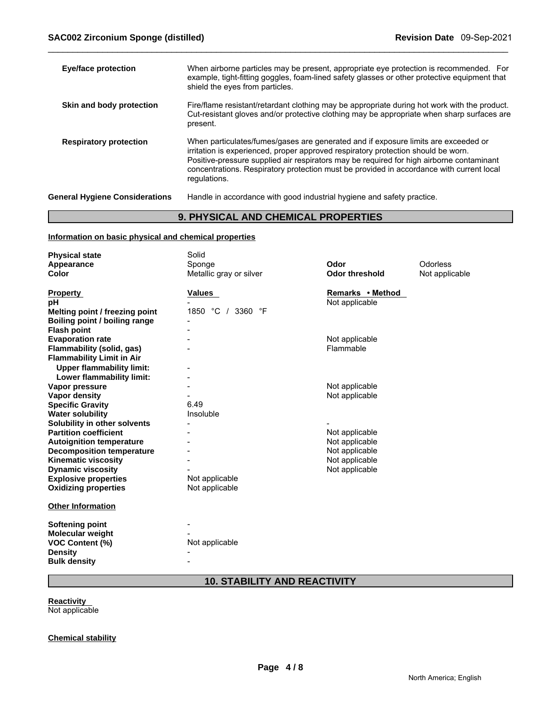| <b>Eye/face protection</b>            | When airborne particles may be present, appropriate eye protection is recommended. For<br>example, tight-fitting goggles, foam-lined safety glasses or other protective equipment that<br>shield the eyes from particles.                                                                                                                                                       |
|---------------------------------------|---------------------------------------------------------------------------------------------------------------------------------------------------------------------------------------------------------------------------------------------------------------------------------------------------------------------------------------------------------------------------------|
| Skin and body protection              | Fire/flame resistant/retardant clothing may be appropriate during hot work with the product.<br>Cut-resistant gloves and/or protective clothing may be appropriate when sharp surfaces are<br>present.                                                                                                                                                                          |
| <b>Respiratory protection</b>         | When particulates/fumes/gases are generated and if exposure limits are exceeded or<br>irritation is experienced, proper approved respiratory protection should be worn.<br>Positive-pressure supplied air respirators may be required for high airborne contaminant<br>concentrations. Respiratory protection must be provided in accordance with current local<br>regulations. |
| <b>General Hygiene Considerations</b> | Handle in accordance with good industrial hygiene and safety practice.                                                                                                                                                                                                                                                                                                          |

# **9. PHYSICAL AND CHEMICAL PROPERTIES**

# **Information on basic physical and chemical properties**

| <b>Physical state</b>            | Solid                   |                       |                |
|----------------------------------|-------------------------|-----------------------|----------------|
| Appearance                       | Sponge                  | Odor                  | Odorless       |
| <b>Color</b>                     | Metallic gray or silver | <b>Odor threshold</b> | Not applicable |
|                                  |                         |                       |                |
| <b>Property</b>                  | Values                  | Remarks • Method      |                |
| рH                               |                         | Not applicable        |                |
| Melting point / freezing point   | 1850 °C / 3360 °F       |                       |                |
| Boiling point / boiling range    |                         |                       |                |
| <b>Flash point</b>               |                         |                       |                |
| <b>Evaporation rate</b>          |                         | Not applicable        |                |
| Flammability (solid, gas)        |                         | Flammable             |                |
| <b>Flammability Limit in Air</b> |                         |                       |                |
| <b>Upper flammability limit:</b> |                         |                       |                |
| Lower flammability limit:        |                         |                       |                |
| Vapor pressure                   |                         | Not applicable        |                |
| <b>Vapor density</b>             |                         | Not applicable        |                |
| <b>Specific Gravity</b>          | 6.49                    |                       |                |
| <b>Water solubility</b>          | Insoluble               |                       |                |
| Solubility in other solvents     |                         |                       |                |
| <b>Partition coefficient</b>     |                         | Not applicable        |                |
| <b>Autoignition temperature</b>  |                         | Not applicable        |                |
| <b>Decomposition temperature</b> |                         | Not applicable        |                |
| <b>Kinematic viscosity</b>       |                         | Not applicable        |                |
| <b>Dynamic viscosity</b>         |                         | Not applicable        |                |
| <b>Explosive properties</b>      | Not applicable          |                       |                |
| <b>Oxidizing properties</b>      | Not applicable          |                       |                |
| <b>Other Information</b>         |                         |                       |                |
|                                  |                         |                       |                |
| Softening point                  |                         |                       |                |
| Molecular weight                 |                         |                       |                |
| <b>VOC Content (%)</b>           | Not applicable          |                       |                |
| <b>Density</b>                   |                         |                       |                |
| <b>Bulk density</b>              |                         |                       |                |

# **10. STABILITY AND REACTIVITY**

**Reactivity**  Not applicable

# **Chemical stability**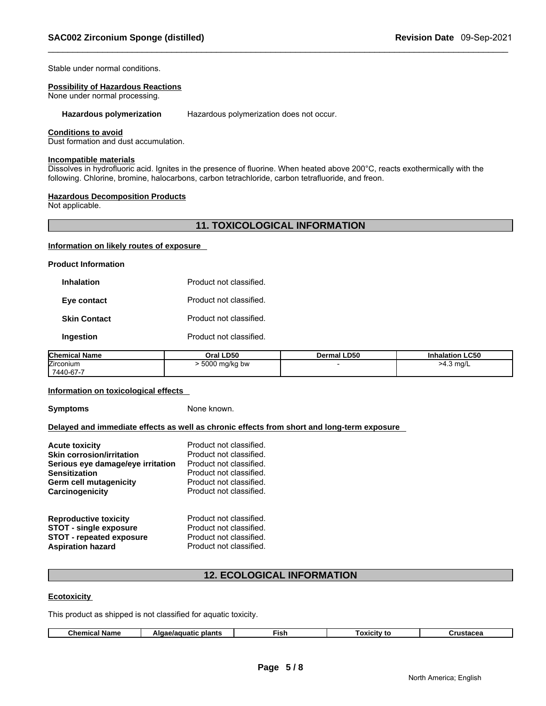Stable under normal conditions.

#### **Possibility of Hazardous Reactions**

None under normal processing.

**Hazardous polymerization** Hazardous polymerization does not occur.

# **Conditions to avoid**

Dust formation and dust accumulation.

#### **Incompatible materials**

Dissolves in hydrofluoric acid. Ignites in the presence of fluorine. When heated above 200°C, reacts exothermically with the following. Chlorine, bromine, halocarbons, carbon tetrachloride, carbon tetrafluoride, and freon.

#### **Hazardous Decomposition Products**

Not applicable.

# **11. TOXICOLOGICAL INFORMATION**

#### **Information on likely routes of exposure**

**Product Information** 

| Inhalation          | Product not classified. |
|---------------------|-------------------------|
| Eye contact         | Product not classified. |
| <b>Skin Contact</b> | Product not classified. |
| Ingestion           | Product not classified. |

| <b>Chemical Name</b> | Oral LD50     | <b>Dermal LD50</b> | <b>Inhalation LC50</b> |
|----------------------|---------------|--------------------|------------------------|
| <b>Zirconium</b>     | 5000 mg/kg bw |                    | >4.3 mg/L              |
| 7440-67-7            |               |                    |                        |

#### **Information on toxicological effects**

**Symptoms** None known.

## **Delayed and immediate effects as well as chronic effects from short and long-term exposure**

| <b>Acute toxicity</b>             | Product not classified. |
|-----------------------------------|-------------------------|
| <b>Skin corrosion/irritation</b>  | Product not classified. |
| Serious eye damage/eye irritation | Product not classified. |
| <b>Sensitization</b>              | Product not classified. |
| Germ cell mutagenicity            | Product not classified. |
| Carcinogenicity                   | Product not classified. |
| <b>Reproductive toxicity</b>      | Product not classified. |
| <b>STOT - single exposure</b>     | Product not classified. |
| <b>STOT - repeated exposure</b>   | Product not classified. |
| <b>Aspiration hazard</b>          | Product not classified. |

# **12. ECOLOGICAL INFORMATION**

#### **Ecotoxicity**

This product as shipped is not classified for aquatic toxicity.

| Chemical<br>Name | plant:<br>iatic<br>$\sim$ $\sim$<br>٩K<br>.iadr | ∃ısh | `itv<br>tc | .<br>. |
|------------------|-------------------------------------------------|------|------------|--------|
|                  |                                                 |      |            |        |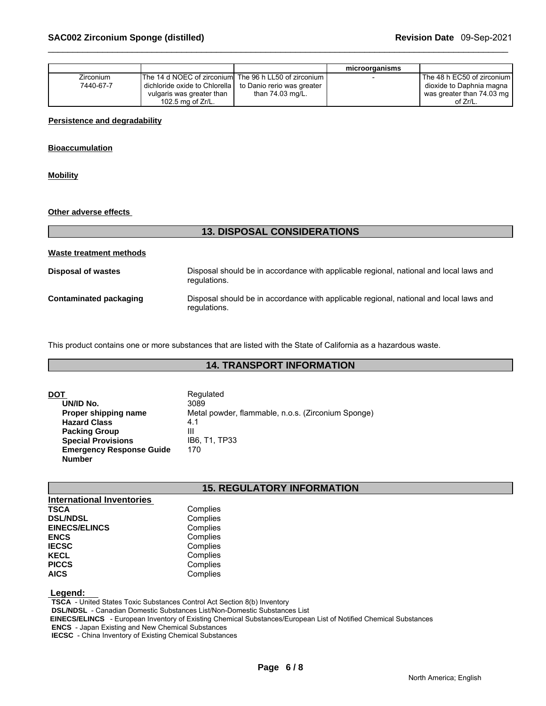|                  |                                                            |                  | microorganisms |                              |
|------------------|------------------------------------------------------------|------------------|----------------|------------------------------|
| <b>Zirconium</b> | The 14 d NOEC of zirconiuml The 96 h LL50 of zirconium I   |                  |                | The 48 h EC50 of zirconium I |
| 7440-67-7        | dichloride oxide to Chlorella   to Danio rerio was greater |                  |                | dioxide to Daphnia magna     |
|                  | vulgaris was greater than                                  | than 74.03 mg/L. |                | was greater than 74.03 mg    |
|                  | 102.5 mg of $Zr/L$ .                                       |                  |                | of Zr/L.                     |

#### **Persistence and degradability**

## **Bioaccumulation**

**Mobility**

#### **Other adverse effects**

|                           | <b>13. DISPOSAL CONSIDERATIONS</b>                                                                     |  |  |
|---------------------------|--------------------------------------------------------------------------------------------------------|--|--|
| Waste treatment methods   |                                                                                                        |  |  |
| <b>Disposal of wastes</b> | Disposal should be in accordance with applicable regional, national and local laws and<br>regulations. |  |  |
| Contaminated packaging    | Disposal should be in accordance with applicable regional, national and local laws and<br>regulations. |  |  |

This product contains one or more substances that are listed with the State of California as a hazardous waste.

# **14. TRANSPORT INFORMATION**

| DOT                             | Regulated                                          |
|---------------------------------|----------------------------------------------------|
| UN/ID No.                       | 3089                                               |
| Proper shipping name            | Metal powder, flammable, n.o.s. (Zirconium Sponge) |
| <b>Hazard Class</b>             | 4.1                                                |
| <b>Packing Group</b>            | Ш                                                  |
| <b>Special Provisions</b>       | IB6. T1. TP33                                      |
| <b>Emergency Response Guide</b> | 170                                                |
| <b>Number</b>                   |                                                    |

# **15. REGULATORY INFORMATION**

| <b>International Inventories</b> |          |
|----------------------------------|----------|
| <b>TSCA</b>                      | Complies |
| <b>DSL/NDSL</b>                  | Complies |
| <b>EINECS/ELINCS</b>             | Complies |
| <b>ENCS</b>                      | Complies |
| <b>IECSC</b>                     | Complies |
| <b>KECL</b>                      | Complies |
| <b>PICCS</b>                     | Complies |
| <b>AICS</b>                      | Complies |

### **Legend:**

 **TSCA** - United States Toxic Substances Control Act Section 8(b) Inventory  **DSL/NDSL** - Canadian Domestic Substances List/Non-Domestic Substances List  **EINECS/ELINCS** - European Inventory of Existing Chemical Substances/European List of Notified Chemical Substances  **ENCS** - Japan Existing and New Chemical Substances

 **IECSC** - China Inventory of Existing Chemical Substances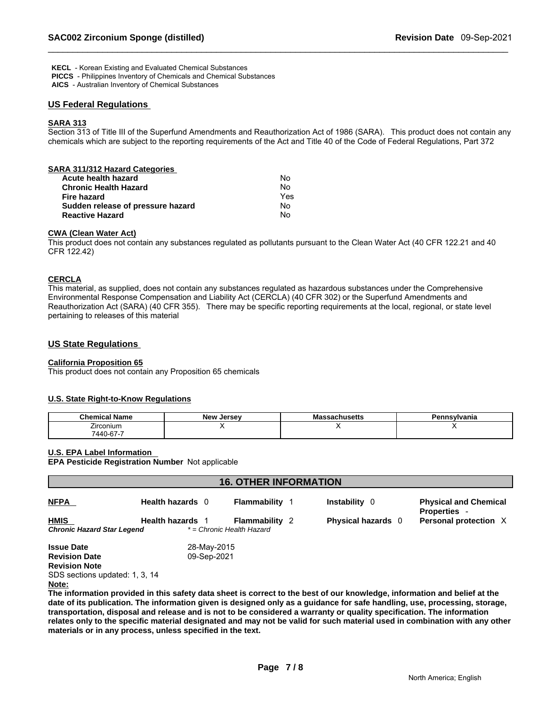**KECL** - Korean Existing and Evaluated Chemical Substances  **PICCS** - Philippines Inventory of Chemicals and Chemical Substances

 **AICS** - Australian Inventory of Chemical Substances

# **US Federal Regulations**

# **SARA 313**

Section 313 of Title III of the Superfund Amendments and Reauthorization Act of 1986 (SARA). This product does not contain any chemicals which are subject to the reporting requirements of the Act and Title 40 of the Code of Federal Regulations, Part 372

| SARA 311/312 Hazard Categories    |     |  |
|-----------------------------------|-----|--|
| Acute health hazard               | No  |  |
| <b>Chronic Health Hazard</b>      | No  |  |
| Fire hazard                       | Yes |  |
| Sudden release of pressure hazard | No  |  |
| <b>Reactive Hazard</b>            | No  |  |
|                                   |     |  |

#### **CWA (Clean Water Act)**

This product does not contain any substances regulated as pollutants pursuant to the Clean Water Act (40 CFR 122.21 and 40 CFR 122.42)

#### **CERCLA**

This material, as supplied, does not contain any substances regulated as hazardous substances under the Comprehensive Environmental Response Compensation and Liability Act (CERCLA) (40 CFR 302) or the Superfund Amendments and Reauthorization Act (SARA) (40 CFR 355). There may be specific reporting requirements at the local, regional, or state level pertaining to releases of this material

# **US State Regulations**

# **California Proposition 65**

This product does not contain any Proposition 65 chemicals

### **U.S. State Right-to-Know Regulations**

| .<br>Chemical<br>' Name               | <b>New Jersey</b> | <b>IVIC</b><br>sachuseus | Pennsvlvania |
|---------------------------------------|-------------------|--------------------------|--------------|
| $\overline{\phantom{a}}$<br>Zirconium |                   |                          |              |
| '440-67-7                             |                   |                          |              |

### **U.S. EPA Label Information**

**EPA Pesticide Registration Number** Not applicable

| <b>16. OTHER INFORMATION</b>   |                         |                           |  |                           |                                                     |
|--------------------------------|-------------------------|---------------------------|--|---------------------------|-----------------------------------------------------|
| <b>NFPA</b>                    | Health hazards 0        | <b>Flammability</b>       |  | <b>Instability</b> 0      | <b>Physical and Chemical</b><br><b>Properties -</b> |
| <b>HMIS</b>                    | <b>Health hazards</b> 1 | <b>Flammability 2</b>     |  | <b>Physical hazards</b> 0 | Personal protection X                               |
| Chronic Hazard Star Legend     |                         | * = Chronic Health Hazard |  |                           |                                                     |
| <b>Issue Date</b>              | 28-May-2015             |                           |  |                           |                                                     |
| <b>Revision Date</b>           | 09-Sep-2021             |                           |  |                           |                                                     |
| <b>Revision Note</b>           |                         |                           |  |                           |                                                     |
| SDS sections updated: 1, 3, 14 |                         |                           |  |                           |                                                     |
| Note:                          |                         |                           |  |                           |                                                     |
|                                |                         |                           |  |                           |                                                     |

**The information provided in this safety data sheet is correct to the best of our knowledge, information and belief at the date of its publication. The information given is designed only as a guidance for safe handling, use, processing, storage, transportation, disposal and release and is not to be considered a warranty or quality specification. The information relates only to the specific material designated and may not be valid for such material used in combination with any other materials or in any process, unless specified in the text.**